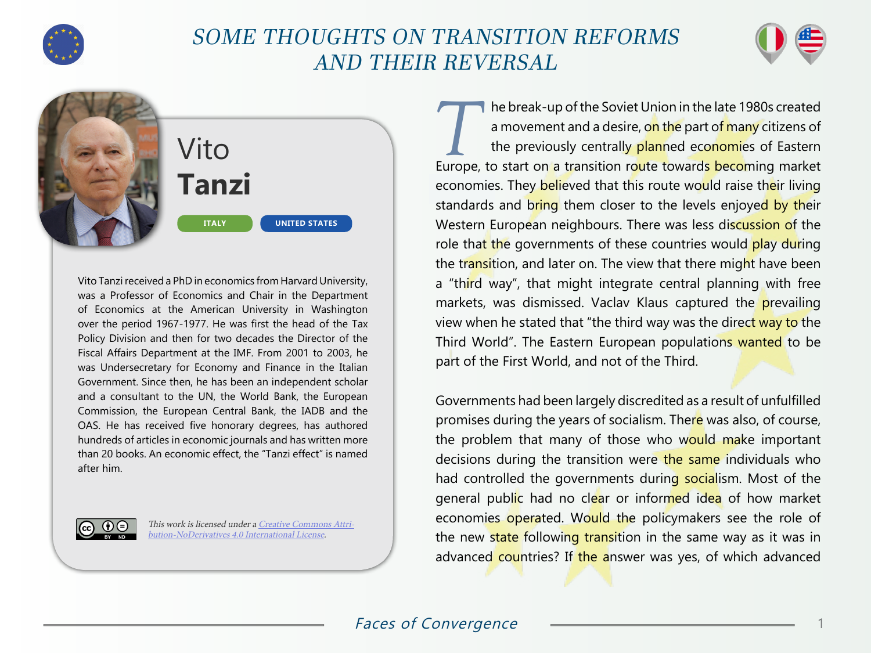

## SOME THOUGHTS ON TRANSITION REFORMS AND THEIR REVERSAL



Vito **Tanzi ITALY UNITED STATES**

Vito Tanzi received a PhD in economics from Harvard University, was a Professor of Economics and Chair in the Department of Economics at the American University in Washington over the period 1967-1977. He was first the head of the Tax Policy Division and then for two decades the Director of the Fiscal Affairs Department at the IMF. From 2001 to 2003, he was Undersecretary for Economy and Finance in the Italian Government. Since then, he has been an independent scholar and a consultant to the UN, the World Bank, the European Commission, the European Central Bank, the IADB and the OAS. He has received five honorary degrees, has authored hundreds of articles in economic journals and has written more than 20 books. An economic effect, the "Tanzi effect" is named after him.



This work is licensed under a [Creative Commons Attri](https://creativecommons.org/licenses/by-nd/4.0/)[bution-NoDerivatives 4.0 International License](https://creativecommons.org/licenses/by-nd/4.0/).

The break-up of the Soviet Union in the late 1980s created<br>
a movement and a desire, on the part of many citizens of<br>
the previously centrally planned economies of Eastern a movement and a desire, on the part of many citizens of Europe, to start on a transition route towards becoming market economies. They believed that this route would raise their living standards and bring them closer to the levels enjoyed by their Western European neighbours. There was less discussion of the role that the governments of these countries would play during the transition, and later on. The view that there might have been a "third way", that might integrate central planning with free markets, was dismissed. Vaclav Klaus captured the prevailing view when he stated that "the third way was the direct way to the Third World". The Eastern European populations wanted to be part of the First World, and not of the Third.

Governments had been largely discredited as a result of unfulfilled promises during the years of socialism. There was also, of course, the problem that many of those who would make important decisions during the transition were the same individuals who had controlled the governments during socialism. Most of the general public had no clear or informed idea of how market economies operated. Would the policymakers see the role of the new state following transition in the same way as it was in advanced countries? If the answer was yes, of which advanced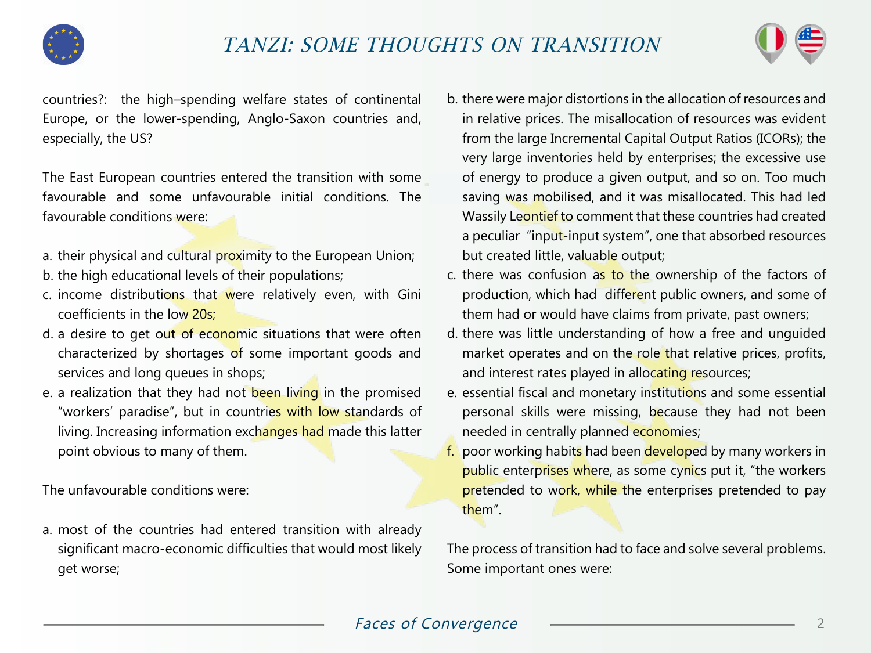



countries?: the high–spending welfare states of continental Europe, or the lower-spending, Anglo-Saxon countries and, especially, the US?

The East European countries entered the transition with some favourable and some unfavourable initial conditions. The favourable conditions were:

- a. their physical and cultural proximity to the European Union;
- b. the high educational levels of their populations;
- c. income distributions that were relatively even, with Gini coefficients in the low 20s;
- d. a desire to get out of economic situations that were often characterized by shortages of some important goods and services and long queues in shops;
- e. a realization that they had not been living in the promised "workers' paradise", but in countries with low standards of living. Increasing information exchanges had made this latter point obvious to many of them.

The unfavourable conditions were:

a. most of the countries had entered transition with already significant macro-economic difficulties that would most likely get worse;

- b. there were major distortions in the allocation of resources and in relative prices. The misallocation of resources was evident from the large Incremental Capital Output Ratios (ICORs); the very large inventories held by enterprises; the excessive use of energy to produce a given output, and so on. Too much saving was mobilised, and it was misallocated. This had led Wassily Leontief to comment that these countries had created a peculiar "input-input system", one that absorbed resources but created little, valuable output;
- c. there was confusion as to the ownership of the factors of production, which had different public owners, and some of them had or would have claims from private, past owners;
- d. there was little understanding of how a free and unguided market operates and on the role that relative prices, profits, and interest rates played in allocating resources;
- e. essential fiscal and monetary institutions and some essential personal skills were missing, because they had not been needed in centrally planned economies;
- f. poor working habits had been developed by many workers in public enterprises where, as some cynics put it, "the workers pretended to work, while the enterprises pretended to pay them".

The process of transition had to face and solve several problems. Some important ones were: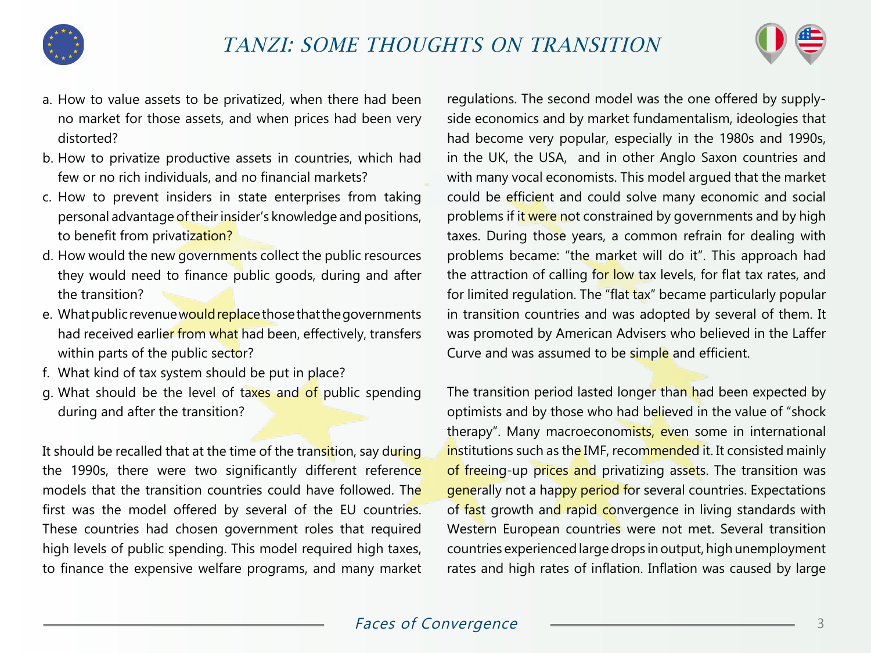



- a. How to value assets to be privatized, when there had been no market for those assets, and when prices had been very distorted?
- b. How to privatize productive assets in countries, which had few or no rich individuals, and no financial markets?
- c. How to prevent insiders in state enterprises from taking personal advantage of their insider's knowledge and positions, to benefit from privatization?
- d. How would the new governments collect the public resources they would need to finance public goods, during and after the transition?
- e. What public revenue would replace those that the governments had received earlier from what had been, effectively, transfers within parts of the public sector?
- f. What kind of tax system should be put in place?
- g. What should be the level of taxes and of public spending during and after the transition?

It should be recalled that at the time of the transition, say during the 1990s, there were two significantly different reference models that the transition countries could have followed. The first was the model offered by several of the EU countries. These countries had chosen government roles that required high levels of public spending. This model required high taxes, to finance the expensive welfare programs, and many market

regulations. The second model was the one offered by supplyside economics and by market fundamentalism, ideologies that had become very popular, especially in the 1980s and 1990s, in the UK, the USA, and in other Anglo Saxon countries and with many vocal economists. This model argued that the market could be efficient and could solve many economic and social problems if it were not constrained by governments and by high taxes. During those years, a common refrain for dealing with problems became: "the market will do it". This approach had the attraction of calling for low tax levels, for flat tax rates, and for limited regulation. The "flat tax" became particularly popular in transition countries and was adopted by several of them. It was promoted by American Advisers who believed in the Laffer Curve and was assumed to be simple and efficient.

The transition period lasted longer than had been expected by optimists and by those who had believed in the value of "shock therapy". Many macroeconomists, even some in international institutions such as the IMF, recommended it. It consisted mainly of freeing-up prices and privatizing assets. The transition was generally not a happy period for several countries. Expectations of fast growth and rapid convergence in living standards with Western European countries were not met. Several transition countries experienced large drops in output, high unemployment rates and high rates of inflation. Inflation was caused by large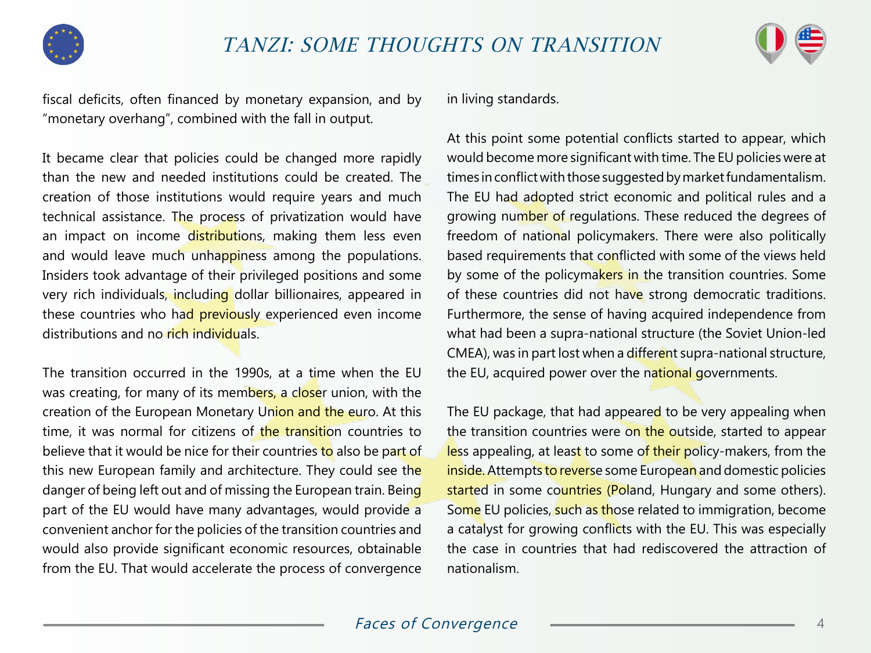



fiscal deficits, often financed by monetary expansion, and by "monetary overhang", combined with the fall in output.

It became clear that policies could be changed more rapidly than the new and needed institutions could be created. The creation of those institutions would require years and much technical assistance. The process of privatization would have an impact on income distributions, making them less even and would leave much unhappiness among the populations. Insiders took advantage of their privileged positions and some very rich individuals, including dollar billionaires, appeared in these countries who had previously experienced even income distributions and no rich individuals.

The transition occurred in the 1990s, at a time when the EU was creating, for many of its members, a closer union, with the creation of the European Monetary Union and the euro. At this time, it was normal for citizens of the transition countries to believe that it would be nice for their countries to also be part of this new European family and architecture. They could see the danger of being left out and of missing the European train. Being part of the EU would have many advantages, would provide a convenient anchor for the policies of the transition countries and would also provide significant economic resources, obtainable from the EU. That would accelerate the process of convergence

in living standards.

At this point some potential conflicts started to appear, which would become more significant with time. The EU policies were at times in conflict with those suggested by market fundamentalism. The EU had adopted strict economic and political rules and a growing number of regulations. These reduced the degrees of freedom of national policymakers. There were also politically based requirements that conflicted with some of the views held by some of the policymakers in the transition countries. Some of these countries did not have strong democratic traditions. Furthermore, the sense of having acquired independence from what had been a supra-national structure (the Soviet Union-led CMEA), was in part lost when a different supra-national structure, the EU, acquired power over the national governments.

The EU package, that had appeared to be very appealing when the transition countries were on the outside, started to appear less appealing, at least to some of their policy-makers, from the inside. Attempts to reverse some European and domestic policies started in some countries (Poland, Hungary and some others). Some EU policies, such as those related to immigration, become a catalyst for growing conflicts with the EU. This was especially the case in countries that had rediscovered the attraction of nationalism.